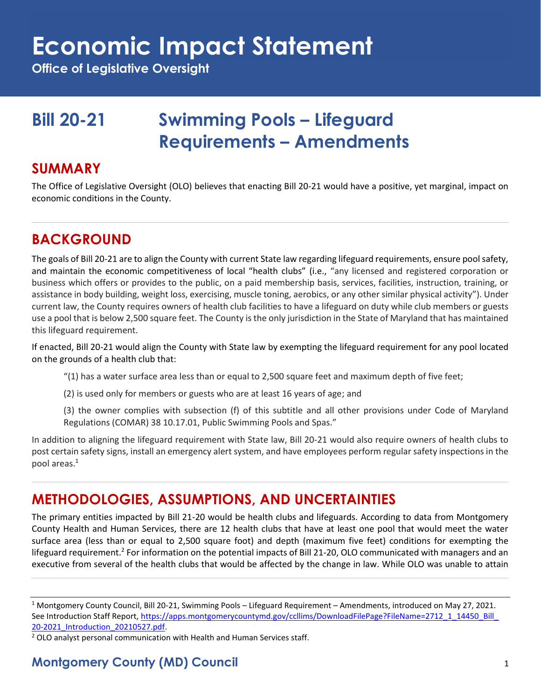**Office of Legislative Oversight**

# **Bill 20-21 Swimming Pools – Lifeguard Requirements – Amendments**

#### **SUMMARY**

The Office of Legislative Oversight (OLO) believes that enacting Bill 20-21 would have a positive, yet marginal, impact on economic conditions in the County.

# **BACKGROUND**

The goals of Bill 20-21 are to align the County with current State law regarding lifeguard requirements, ensure pool safety, and maintain the economic competitiveness of local "health clubs" (i.e., "any licensed and registered corporation or business which offers or provides to the public, on a paid membership basis, services, facilities, instruction, training, or assistance in body building, weight loss, exercising, muscle toning, aerobics, or any other similar physical activity"). Under current law, the County requires owners of health club facilities to have a lifeguard on duty while club members or guests use a pool that is below 2,500 square feet. The County is the only jurisdiction in the State of Maryland that has maintained this lifeguard requirement.

If enacted, Bill 20-21 would align the County with State law by exempting the lifeguard requirement for any pool located on the grounds of a health club that:

- "(1) has a water surface area less than or equal to 2,500 square feet and maximum depth of five feet;
- (2) is used only for members or guests who are at least 16 years of age; and
- (3) the owner complies with subsection (f) of this subtitle and all other provisions under Code of Maryland Regulations (COMAR) 38 10.17.01, Public Swimming Pools and Spas."

In addition to aligning the lifeguard requirement with State law, Bill 20-21 would also require owners of health clubs to post certain safety signs, install an emergency alert system, and have employees perform regular safety inspections in the pool areas.<sup>1</sup>

# **METHODOLOGIES, ASSUMPTIONS, AND UNCERTAINTIES**

The primary entities impacted by Bill 21-20 would be health clubs and lifeguards. According to data from Montgomery County Health and Human Services, there are 12 health clubs that have at least one pool that would meet the water surface area (less than or equal to 2,500 square foot) and depth (maximum five feet) conditions for exempting the lifeguard requirement.<sup>2</sup> For information on the potential impacts of Bill 21-20, OLO communicated with managers and an executive from several of the health clubs that would be affected by the change in law. While OLO was unable to attain

 $2$  OLO analyst personal communication with Health and Human Services staff.

<sup>1</sup> Montgomery County Council, Bill 20-21, Swimming Pools – Lifeguard Requirement – Amendments, introduced on May 27, 2021. See Introduction Staff Report, https://apps.montgomerycountymd.gov/ccllims/DownloadFilePage?FileName=2712\_1\_14450\_Bill [20-2021\\_Introduction\\_20210527.pdf.](https://apps.montgomerycountymd.gov/ccllims/DownloadFilePage?FileName=2712_1_14450_Bill_20-2021_Introduction_20210527.pdf)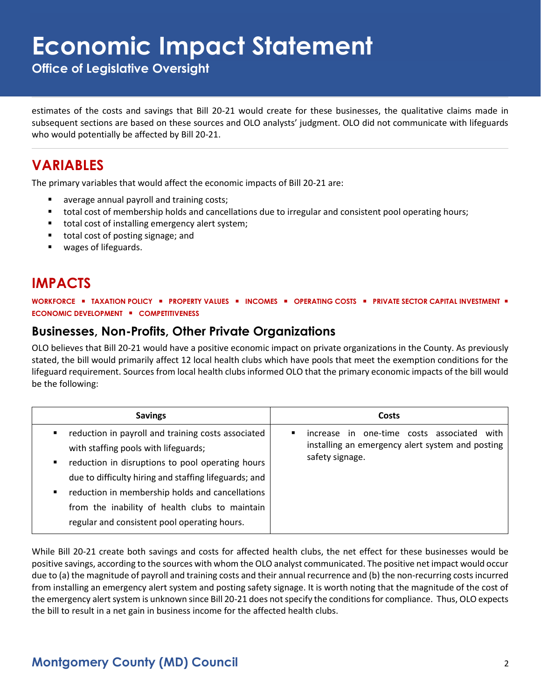**Office of Legislative Oversight**

estimates of the costs and savings that Bill 20-21 would create for these businesses, the qualitative claims made in subsequent sections are based on these sources and OLO analysts' judgment. OLO did not communicate with lifeguards who would potentially be affected by Bill 20-21.

# **VARIABLES**

The primary variables that would affect the economic impacts of Bill 20-21 are:

- average annual payroll and training costs;
- total cost of membership holds and cancellations due to irregular and consistent pool operating hours;
- total cost of installing emergency alert system;
- total cost of posting signage; and
- wages of lifeguards.

### **IMPACTS**

**WORKFORCE** ▪ **TAXATION POLICY** ▪ **PROPERTY VALUES** ▪ **INCOMES** ▪ **OPERATING COSTS** ▪ **PRIVATE SECTOR CAPITAL INVESTMENT** ▪ **ECONOMIC DEVELOPMENT** ▪ **COMPETITIVENESS**

#### **Businesses, Non-Profits, Other Private Organizations**

OLO believes that Bill 20-21 would have a positive economic impact on private organizations in the County. As previously stated, the bill would primarily affect 12 local health clubs which have pools that meet the exemption conditions for the lifeguard requirement. Sources from local health clubs informed OLO that the primary economic impacts of the bill would be the following:

| <b>Savings</b>                                                                                                                                                                                                                                                                                                                                                         | Costs                                                                                                                     |
|------------------------------------------------------------------------------------------------------------------------------------------------------------------------------------------------------------------------------------------------------------------------------------------------------------------------------------------------------------------------|---------------------------------------------------------------------------------------------------------------------------|
| reduction in payroll and training costs associated<br>with staffing pools with lifeguards;<br>reduction in disruptions to pool operating hours<br>٠<br>due to difficulty hiring and staffing lifeguards; and<br>reduction in membership holds and cancellations<br>٠<br>from the inability of health clubs to maintain<br>regular and consistent pool operating hours. | increase in one-time costs associated<br>with<br>٠<br>installing an emergency alert system and posting<br>safety signage. |

While Bill 20-21 create both savings and costs for affected health clubs, the net effect for these businesses would be positive savings, according to the sources with whom the OLO analyst communicated. The positive net impact would occur due to (a) the magnitude of payroll and training costs and their annual recurrence and (b) the non-recurring costs incurred from installing an emergency alert system and posting safety signage. It is worth noting that the magnitude of the cost of the emergency alert system is unknown since Bill 20-21 does not specify the conditions for compliance. Thus, OLO expects the bill to result in a net gain in business income for the affected health clubs.

#### **Montgomery County (MD) Council** 2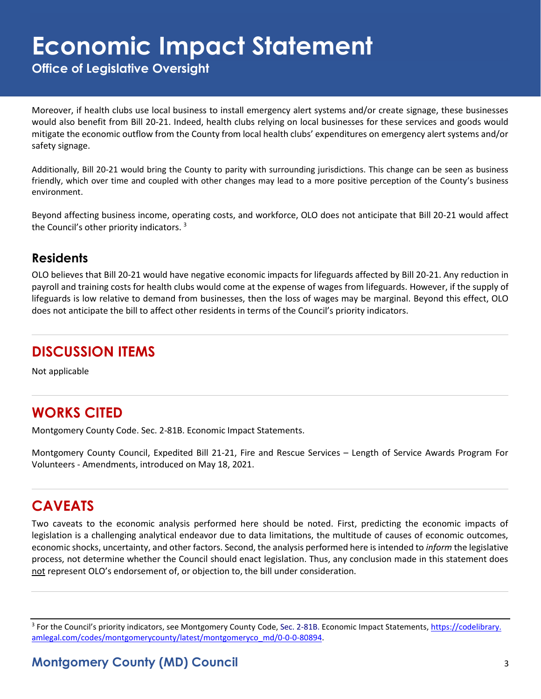**Office of Legislative Oversight**

Moreover, if health clubs use local business to install emergency alert systems and/or create signage, these businesses would also benefit from Bill 20-21. Indeed, health clubs relying on local businesses for these services and goods would mitigate the economic outflow from the County from local health clubs' expenditures on emergency alert systems and/or safety signage.

Additionally, Bill 20-21 would bring the County to parity with surrounding jurisdictions. This change can be seen as business friendly, which over time and coupled with other changes may lead to a more positive perception of the County's business environment.

Beyond affecting business income, operating costs, and workforce, OLO does not anticipate that Bill 20-21 would affect the Council's other priority indicators. <sup>3</sup>

#### **Residents**

OLO believes that Bill 20-21 would have negative economic impacts for lifeguards affected by Bill 20-21. Any reduction in payroll and training costs for health clubs would come at the expense of wages from lifeguards. However, if the supply of lifeguards is low relative to demand from businesses, then the loss of wages may be marginal. Beyond this effect, OLO does not anticipate the bill to affect other residents in terms of the Council's priority indicators.

# **DISCUSSION ITEMS**

Not applicable

# **WORKS CITED**

Montgomery County Code. Sec. 2-81B. Economic Impact Statements.

Montgomery County Council, Expedited Bill 21-21, Fire and Rescue Services – Length of Service Awards Program For Volunteers - Amendments, introduced on May 18, 2021.

# **CAVEATS**

Two caveats to the economic analysis performed here should be noted. First, predicting the economic impacts of legislation is a challenging analytical endeavor due to data limitations, the multitude of causes of economic outcomes, economic shocks, uncertainty, and other factors. Second, the analysis performed here is intended to *inform* the legislative process, not determine whether the Council should enact legislation. Thus, any conclusion made in this statement does not represent OLO's endorsement of, or objection to, the bill under consideration.

<sup>3</sup> For the Council's priority indicators, see Montgomery County Code, Sec. 2-81B. Economic Impact Statements, <u>https://codelibrary.</u> [amlegal.com/codes/montgomerycounty/latest/montgomeryco\\_md/0-0-0-80894.](https://codelibrary.amlegal.com/codes/montgomerycounty/latest/montgomeryco_md/0-0-0-80894)